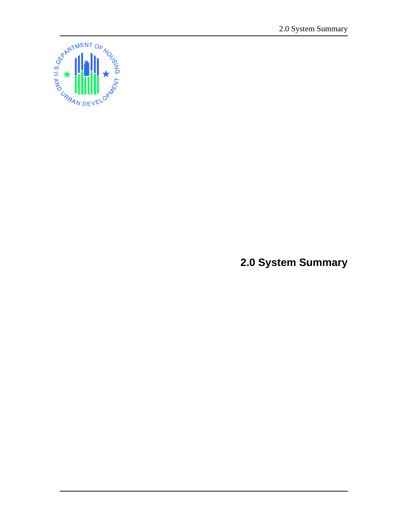

**2.0 System Summary**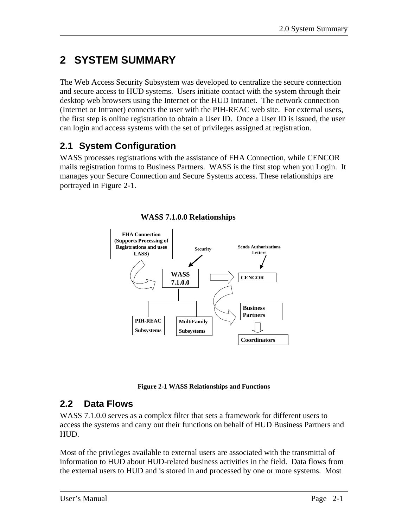# **2 SYSTEM SUMMARY**

The Web Access Security Subsystem was developed to centralize the secure connection and secure access to HUD systems. Users initiate contact with the system through their desktop web browsers using the Internet or the HUD Intranet. The network connection (Internet or Intranet) connects the user with the PIH-REAC web site. For external users, the first step is online registration to obtain a User ID. Once a User ID is issued, the user can login and access systems with the set of privileges assigned at registration.

## **2.1 System Configuration**

WASS processes registrations with the assistance of FHA Connection, while CENCOR mails registration forms to Business Partners. WASS is the first stop when you Login. It manages your Secure Connection and Secure Systems access. These relationships are portrayed in Figure 2-1.



**WASS 7.1.0.0 Relationships**

**Figure 2-1 WASS Relationships and Functions** 

### **2.2 Data Flows**

WASS 7.1.0.0 serves as a complex filter that sets a framework for different users to access the systems and carry out their functions on behalf of HUD Business Partners and HUD.

Most of the privileges available to external users are associated with the transmittal of information to HUD about HUD-related business activities in the field. Data flows from the external users to HUD and is stored in and processed by one or more systems. Most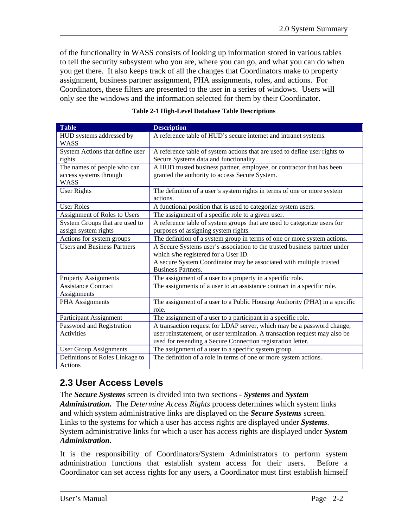of the functionality in WASS consists of looking up information stored in various tables to tell the security subsystem who you are, where you can go, and what you can do when you get there. It also keeps track of all the changes that Coordinators make to property assignment, business partner assignment, PHA assignments, roles, and actions. For Coordinators, these filters are presented to the user in a series of windows. Users will only see the windows and the information selected for them by their Coordinator.

| <b>Table</b>                       | <b>Description</b>                                                                  |  |  |  |
|------------------------------------|-------------------------------------------------------------------------------------|--|--|--|
| HUD systems addressed by           | A reference table of HUD's secure internet and intranet systems.                    |  |  |  |
| <b>WASS</b>                        |                                                                                     |  |  |  |
| System Actions that define user    | A reference table of system actions that are used to define user rights to          |  |  |  |
| rights                             | Secure Systems data and functionality.                                              |  |  |  |
| The names of people who can        | A HUD trusted business partner, employee, or contractor that has been               |  |  |  |
| access systems through             | granted the authority to access Secure System.                                      |  |  |  |
| <b>WASS</b>                        |                                                                                     |  |  |  |
| <b>User Rights</b>                 | The definition of a user's system rights in terms of one or more system<br>actions. |  |  |  |
| <b>User Roles</b>                  | A functional position that is used to categorize system users.                      |  |  |  |
| Assignment of Roles to Users       | The assignment of a specific role to a given user.                                  |  |  |  |
| System Groups that are used to     | A reference table of system groups that are used to categorize users for            |  |  |  |
| assign system rights               | purposes of assigning system rights.                                                |  |  |  |
| Actions for system groups          | The definition of a system group in terms of one or more system actions.            |  |  |  |
| <b>Users and Business Partners</b> | A Secure Systems user's association to the trusted business partner under           |  |  |  |
|                                    | which s/he registered for a User ID.                                                |  |  |  |
|                                    | A secure System Coordinator may be associated with multiple trusted                 |  |  |  |
|                                    | <b>Business Partners.</b>                                                           |  |  |  |
| <b>Property Assignments</b>        | The assignment of a user to a property in a specific role.                          |  |  |  |
| <b>Assistance Contract</b>         | The assignments of a user to an assistance contract in a specific role.             |  |  |  |
| Assignments                        |                                                                                     |  |  |  |
| PHA Assignments                    | The assignment of a user to a Public Housing Authority (PHA) in a specific          |  |  |  |
|                                    | role.                                                                               |  |  |  |
| Participant Assignment             | The assignment of a user to a participant in a specific role.                       |  |  |  |
| Password and Registration          | A transaction request for LDAP server, which may be a password change,              |  |  |  |
| <b>Activities</b>                  | user reinstatement, or user termination. A transaction request may also be          |  |  |  |
|                                    | used for resending a Secure Connection registration letter.                         |  |  |  |
| <b>User Group Assignments</b>      | The assignment of a user to a specific system group.                                |  |  |  |
| Definitions of Roles Linkage to    | The definition of a role in terms of one or more system actions.                    |  |  |  |
| Actions                            |                                                                                     |  |  |  |

|  |  | <b>Table 2-1 High-Level Database Table Descriptions</b> |
|--|--|---------------------------------------------------------|
|  |  |                                                         |

### **2.3 User Access Levels**

The *Secure Systems* screen is divided into two sections - *Systems* and *System Administration***.** The *Determine Access Rights* process determines which system links and which system administrative links are displayed on the *Secure Systems* screen. Links to the systems for which a user has access rights are displayed under *Systems*. System administrative links for which a user has access rights are displayed under *System Administration.*

It is the responsibility of Coordinators/System Administrators to perform system administration functions that establish system access for their users. Before a Coordinator can set access rights for any users, a Coordinator must first establish himself